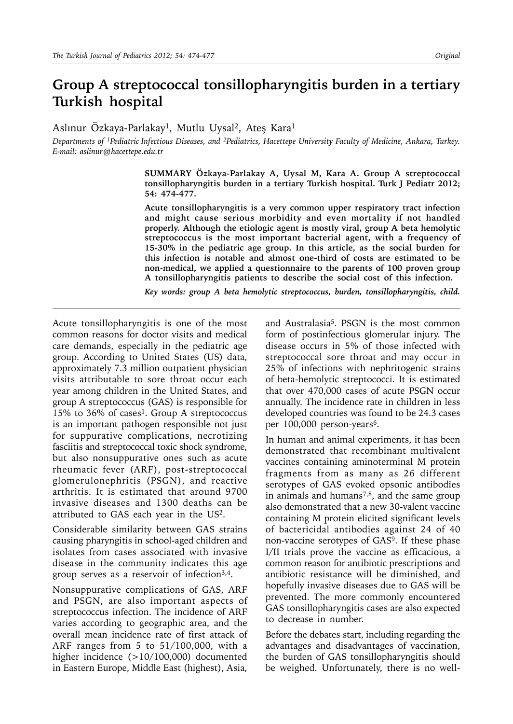# **Group A streptococcal tonsillopharyngitis burden in a tertiary Turkish hospital**

Aslınur Özkaya-Parlakay<sup>1</sup>, Mutlu Uysal<sup>2</sup>, Ateş Kara<sup>1</sup>

*Departments of 1Pediatric Infectious Diseases, and 2Pediatrics, Hacettepe University Faculty of Medicine, Ankara, Turkey. E-mail: aslinur@hacettepe.edu.tr*

> **SUMMARY Özkaya-Parlakay A, Uysal M, Kara A. Group A streptococcal tonsillopharyngitis burden in a tertiary Turkish hospital. Turk J Pediatr 2012; 54: 474-477.**

> **Acute tonsillopharyngitis is a very common upper respiratory tract infection and might cause serious morbidity and even mortality if not handled properly. Although the etiologic agent is mostly viral, group A beta hemolytic streptococcus is the most important bacterial agent, with a frequency of 15-30% in the pediatric age group. In this article, as the social burden for this infection is notable and almost one-third of costs are estimated to be non-medical, we applied a questionnaire to the parents of 100 proven group A tonsillopharyngitis patients to describe the social cost of this infection.**

> *Key words: group A beta hemolytic streptococcus, burden, tonsillopharyngitis, child.*

Acute tonsillopharyngitis is one of the most common reasons for doctor visits and medical care demands, especially in the pediatric age group. According to United States (US) data, approximately 7.3 million outpatient physician visits attributable to sore throat occur each year among children in the United States, and group A streptococcus (GAS) is responsible for 15% to 36% of cases<sup>1</sup>. Group A streptococcus is an important pathogen responsible not just for suppurative complications, necrotizing fasciitis and streptococcal toxic shock syndrome, but also nonsuppurative ones such as acute rheumatic fever (ARF), post-streptococcal glomerulonephritis (PSGN), and reactive arthritis. It is estimated that around 9700 invasive diseases and 1300 deaths can be attributed to GAS each year in the US2.

Considerable similarity between GAS strains causing pharyngitis in school-aged children and isolates from cases associated with invasive disease in the community indicates this age group serves as a reservoir of infection<sup>3,4</sup>.

Nonsuppurative complications of GAS, ARF and PSGN, are also important aspects of streptococcus infection. The incidence of ARF varies according to geographic area, and the overall mean incidence rate of first attack of ARF ranges from 5 to 51/100,000, with a higher incidence (>10/100,000) documented in Eastern Europe, Middle East (highest), Asia,

and Australasia<sup>5</sup>. PSGN is the most common form of postinfectious glomerular injury. The disease occurs in 5% of those infected with streptococcal sore throat and may occur in 25% of infections with nephritogenic strains of beta-hemolytic streptococci. It is estimated that over 470,000 cases of acute PSGN occur annually. The incidence rate in children in less developed countries was found to be 24.3 cases per 100,000 person-years<sup>6</sup>.

In human and animal experiments, it has been demonstrated that recombinant multivalent vaccines containing aminoterminal M protein fragments from as many as 26 different serotypes of GAS evoked opsonic antibodies in animals and humans<sup>7,8</sup>, and the same group also demonstrated that a new 30-valent vaccine containing M protein elicited significant levels of bactericidal antibodies against 24 of 40 non-vaccine serotypes of GAS9. If these phase I/II trials prove the vaccine as efficacious, a common reason for antibiotic prescriptions and antibiotic resistance will be diminished, and hopefully invasive diseases due to GAS will be prevented. The more commonly encountered GAS tonsillopharyngitis cases are also expected to decrease in number.

Before the debates start, including regarding the advantages and disadvantages of vaccination, the burden of GAS tonsillopharyngitis should be weighed. Unfortunately, there is no well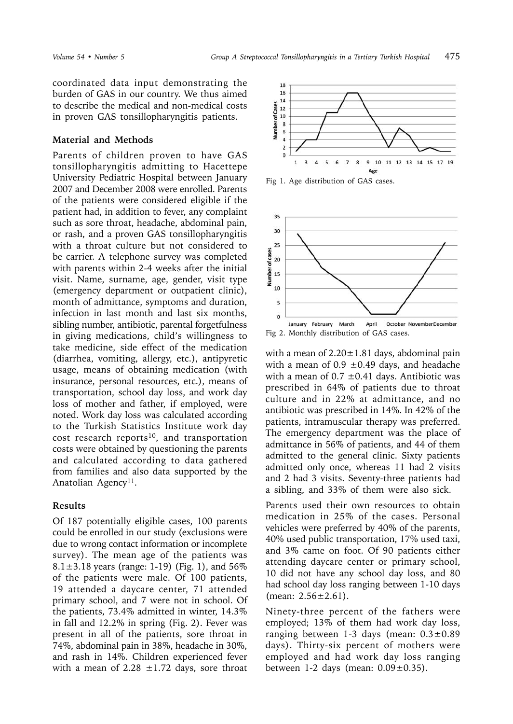coordinated data input demonstrating the burden of GAS in our country. We thus aimed to describe the medical and non-medical costs in proven GAS tonsillopharyngitis patients.

## **Material and Methods**

Parents of children proven to have GAS tonsillopharyngitis admitting to Hacettepe University Pediatric Hospital between January 2007 and December 2008 were enrolled. Parents of the patients were considered eligible if the patient had, in addition to fever, any complaint such as sore throat, headache, abdominal pain, or rash, and a proven GAS tonsillopharyngitis with a throat culture but not considered to be carrier. A telephone survey was completed with parents within 2-4 weeks after the initial visit. Name, surname, age, gender, visit type (emergency department or outpatient clinic), month of admittance, symptoms and duration, infection in last month and last six months, sibling number, antibiotic, parental forgetfulness in giving medications, child's willingness to take medicine, side effect of the medication (diarrhea, vomiting, allergy, etc.), antipyretic usage, means of obtaining medication (with insurance, personal resources, etc.), means of transportation, school day loss, and work day loss of mother and father, if employed, were noted. Work day loss was calculated according to the Turkish Statistics Institute work day cost research reports<sup>10</sup>, and transportation costs were obtained by questioning the parents and calculated according to data gathered from families and also data supported by the Anatolian Agency<sup>11</sup>.

### **Results**

Of 187 potentially eligible cases, 100 parents could be enrolled in our study (exclusions were due to wrong contact information or incomplete survey). The mean age of the patients was 8.1 $\pm$ 3.18 years (range: 1-19) (Fig. 1), and 56% of the patients were male. Of 100 patients, 19 attended a daycare center, 71 attended primary school, and 7 were not in school. Of the patients, 73.4% admitted in winter, 14.3% in fall and 12.2% in spring (Fig. 2). Fever was present in all of the patients, sore throat in 74%, abdominal pain in 38%, headache in 30%, and rash in 14%. Children experienced fever with a mean of 2.28  $\pm$ 1.72 days, sore throat



Fig 1. Age distribution of GAS cases.



Fig 2. Monthly distribution of GAS cases.

with a mean of  $2.20 \pm 1.81$  days, abdominal pain with a mean of  $0.9 \pm 0.49$  days, and headache with a mean of  $0.7 \pm 0.41$  days. Antibiotic was prescribed in 64% of patients due to throat culture and in 22% at admittance, and no antibiotic was prescribed in 14%. In 42% of the patients, intramuscular therapy was preferred. The emergency department was the place of admittance in 56% of patients, and 44 of them admitted to the general clinic. Sixty patients admitted only once, whereas 11 had 2 visits and 2 had 3 visits. Seventy-three patients had a sibling, and 33% of them were also sick.

Parents used their own resources to obtain medication in 25% of the cases. Personal vehicles were preferred by 40% of the parents, 40% used public transportation, 17% used taxi, and 3% came on foot. Of 90 patients either attending daycare center or primary school, 10 did not have any school day loss, and 80 had school day loss ranging between 1-10 days (mean:  $2.56 \pm 2.61$ ).

Ninety-three percent of the fathers were employed; 13% of them had work day loss, ranging between 1-3 days (mean:  $0.3 \pm 0.89$ ) days). Thirty-six percent of mothers were employed and had work day loss ranging between 1-2 days (mean:  $0.09\pm0.35$ ).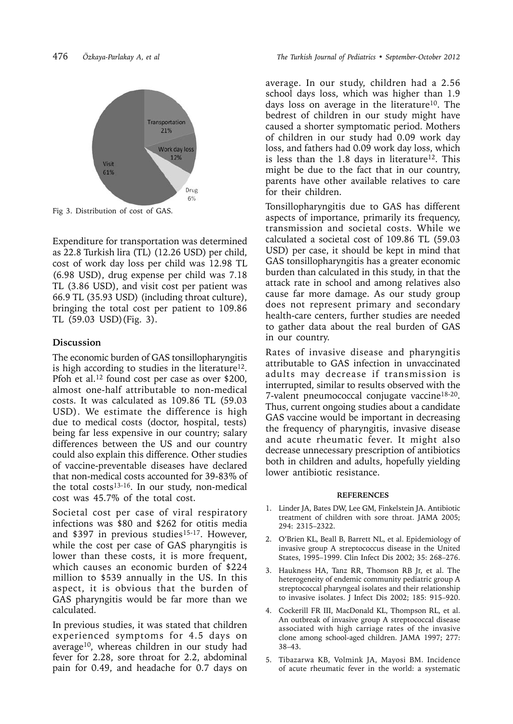

Fig 3. Distribution of cost of GAS.

Expenditure for transportation was determined as 22.8 Turkish lira (TL) (12.26 USD) per child, cost of work day loss per child was 12.98 TL (6.98 USD), drug expense per child was 7.18 TL (3.86 USD), and visit cost per patient was 66.9 TL (35.93 USD) (including throat culture), bringing the total cost per patient to 109.86 TL (59.03 USD)(Fig. 3).

## **Discussion**

The economic burden of GAS tonsillopharyngitis is high according to studies in the literature<sup>12</sup>. Pfoh et al.<sup>12</sup> found cost per case as over \$200, almost one-half attributable to non-medical costs. It was calculated as 109.86 TL (59.03 USD). We estimate the difference is high due to medical costs (doctor, hospital, tests) being far less expensive in our country; salary differences between the US and our country could also explain this difference. Other studies of vaccine-preventable diseases have declared that non-medical costs accounted for 39-83% of the total costs $13-16$ . In our study, non-medical cost was 45.7% of the total cost.

Societal cost per case of viral respiratory infections was \$80 and \$262 for otitis media and \$397 in previous studies<sup>15-17</sup>. However, while the cost per case of GAS pharyngitis is lower than these costs, it is more frequent, which causes an economic burden of \$224 million to \$539 annually in the US. In this aspect, it is obvious that the burden of GAS pharyngitis would be far more than we calculated.

In previous studies, it was stated that children experienced symptoms for 4.5 days on average<sup>10</sup>, whereas children in our study had fever for 2.28, sore throat for 2.2, abdominal pain for 0.49, and headache for 0.7 days on average. In our study, children had a 2.56 school days loss, which was higher than 1.9 days loss on average in the literature<sup>10</sup>. The bedrest of children in our study might have caused a shorter symptomatic period. Mothers of children in our study had 0.09 work day loss, and fathers had 0.09 work day loss, which is less than the  $1.8$  days in literature<sup>12</sup>. This might be due to the fact that in our country, parents have other available relatives to care for their children.

Tonsillopharyngitis due to GAS has different aspects of importance, primarily its frequency, transmission and societal costs. While we calculated a societal cost of 109.86 TL (59.03 USD) per case, it should be kept in mind that GAS tonsillopharyngitis has a greater economic burden than calculated in this study, in that the attack rate in school and among relatives also cause far more damage. As our study group does not represent primary and secondary health-care centers, further studies are needed to gather data about the real burden of GAS in our country.

Rates of invasive disease and pharyngitis attributable to GAS infection in unvaccinated adults may decrease if transmission is interrupted, similar to results observed with the 7-valent pneumococcal conjugate vaccine<sup>18-20</sup>. Thus, current ongoing studies about a candidate GAS vaccine would be important in decreasing the frequency of pharyngitis, invasive disease and acute rheumatic fever. It might also decrease unnecessary prescription of antibiotics both in children and adults, hopefully yielding lower antibiotic resistance.

#### **REFERENCES**

- 1. Linder JA, Bates DW, Lee GM, Finkelstein JA. Antibiotic treatment of children with sore throat. JAMA 2005; 294: 2315–2322.
- 2. O'Brien KL, Beall B, Barrett NL, et al. Epidemiology of invasive group A streptococcus disease in the United States, 1995–1999. Clin Infect Dis 2002; 35: 268–276.
- 3. Haukness HA, Tanz RR, Thomson RB Jr, et al. The heterogeneity of endemic community pediatric group A streptococcal pharyngeal isolates and their relationship to invasive isolates. J Infect Dis 2002; 185: 915–920.
- 4. Cockerill FR III, MacDonald KL, Thompson RL, et al. An outbreak of invasive group A streptococcal disease associated with high carriage rates of the invasive clone among school-aged children. JAMA 1997; 277: 38–43.
- 5. Tibazarwa KB, Volmink JA, Mayosi BM. Incidence of acute rheumatic fever in the world: a systematic